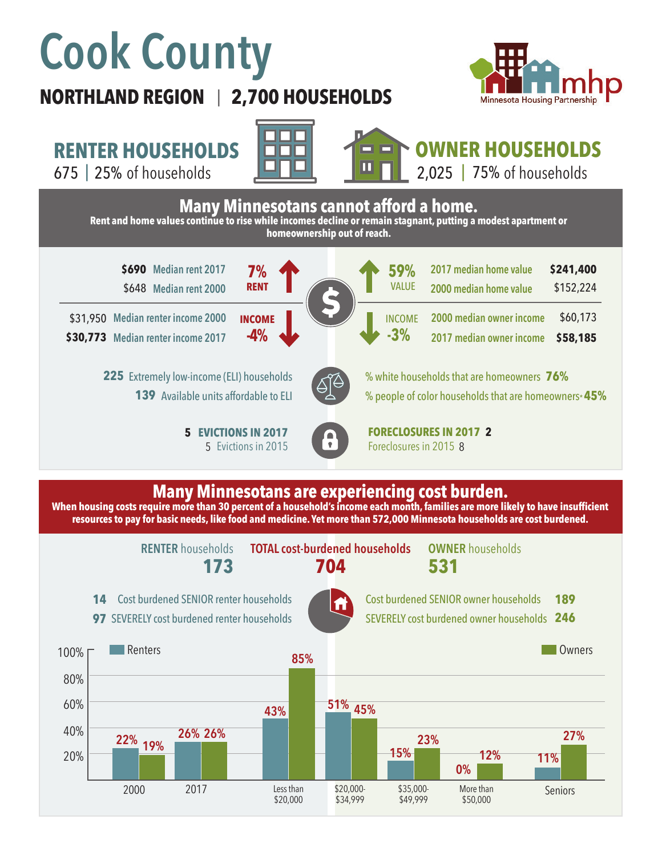# **Cook County**

## **NORTHLAND REGION 2,700 HOUSEHOLDS**  |



# **RENTER HOUSEHOLDS**

675 | 25% of households  $\begin{array}{|c|c|c|c|c|}\hline \textbf{L} & \textbf{L} & \textbf{L} & \textbf{L} & \textbf{L} & \textbf{L} & \textbf{L} & \textbf{L} & \textbf{L} & \textbf{L} & \textbf{L} & \textbf{L} & \textbf{L} & \textbf{L} & \textbf{L} & \textbf{L} & \textbf{L} & \textbf{L} & \textbf{L} & \textbf{L} & \textbf{L} & \textbf{L} & \textbf{L} & \textbf{L} & \textbf{L} & \text$ 





# **OWNER HOUSEHOLDS**

2,025 |  $75%$  of households



### **Many Minnesotans are experiencing cost burden.**

**When housing costs require more than 30 percent of a household's income each month, families are more likely to have insufficient resources to pay for basic needs, like food and medicine. Yet more than 572,000 Minnesota households are cost burdened.**